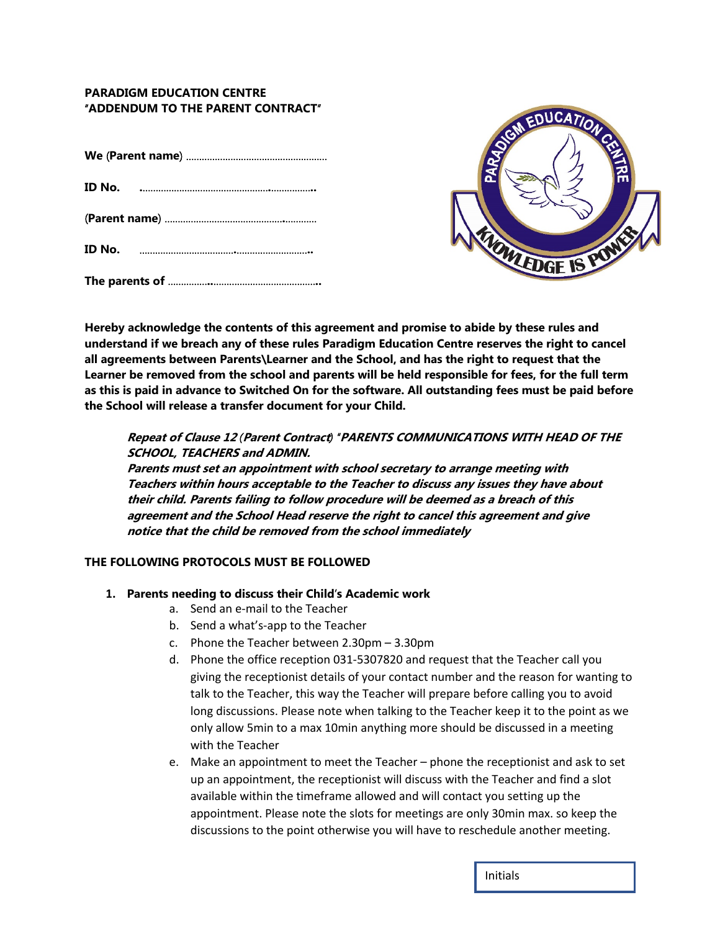# **PARADIGM EDUCATION CENTRE**  "**ADDENDUM TO THE PARENT CONTRACT**"



**Hereby acknowledge the contents of this agreement and promise to abide by these rules and understand if we breach any of these rules Paradigm Education Centre reserves the right to cancel all agreements between Parents\Learner and the School, and has the right to request that the Learner be removed from the school and parents will be held responsible for fees, for the full term as this is paid in advance to Switched On for the software. All outstanding fees must be paid before the School will release a transfer document for your Child.** 

# **Repeat of Clause 12** *(***Parent Contract***) "***PARENTS COMMUNICATIONS WITH HEAD OF THE SCHOOL, TEACHERS and ADMIN.**

**Parents must set an appointment with school secretary to arrange meeting with Teachers within hours acceptable to the Teacher to discuss any issues they have about their child. Parents failing to follow procedure will be deemed as a breach of this agreement and the School Head reserve the right to cancel this agreement and give notice that the child be removed from the school immediately**

### **THE FOLLOWING PROTOCOLS MUST BE FOLLOWED**

#### **1. Parents needing to discuss their Child**'**s Academic work**

- a. Send an e-mail to the Teacher
- b. Send a what's-app to the Teacher
- c. Phone the Teacher between 2.30pm 3.30pm
- d. Phone the office reception 031-5307820 and request that the Teacher call you giving the receptionist details of your contact number and the reason for wanting to talk to the Teacher, this way the Teacher will prepare before calling you to avoid long discussions. Please note when talking to the Teacher keep it to the point as we only allow 5min to a max 10min anything more should be discussed in a meeting with the Teacher
- e. Make an appointment to meet the Teacher phone the receptionist and ask to set up an appointment, the receptionist will discuss with the Teacher and find a slot available within the timeframe allowed and will contact you setting up the appointment. Please note the slots for meetings are only 30min max. so keep the discussions to the point otherwise you will have to reschedule another meeting.

Initials